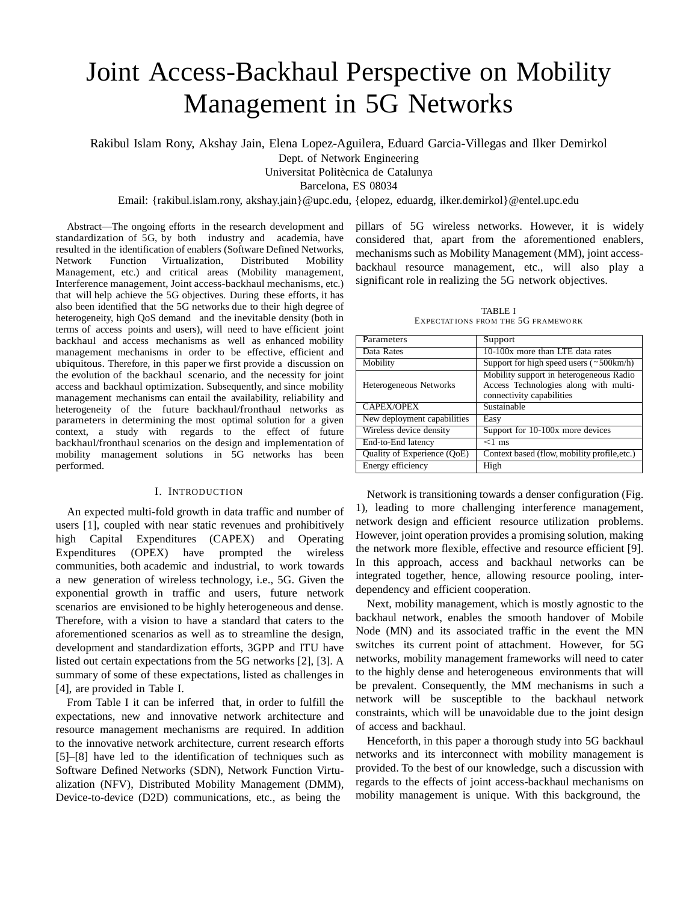# Joint Access-Backhaul Perspective on Mobility Management in 5G Networks

Rakibul Islam Rony, Akshay Jain, Elena Lopez-Aguilera, Eduard Garcia-Villegas and Ilker Demirkol

Dept. of Network Engineering

Universitat Politècnica de Catalunya

Barcelona, ES 08034

## Email: {rakibul.islam.rony, akshay.jai[n}@upc.edu,](mailto:@upc.edu) {elopez, eduardg, ilker.demirko[l}@entel.upc.edu](mailto:@entel.upc.edu)

Abstract—The ongoing efforts in the research development and standardization of 5G, by both industry and academia, have resulted in the identification of enablers (Software Defined Networks, Network Function Virtualization, Distributed Mobility Management, etc.) and critical areas (Mobility management, Interference management, Joint access-backhaul mechanisms, etc.) that will help achieve the 5G objectives. During these efforts, it has also been identified that the 5G networks due to their high degree of heterogeneity, high QoS demand and the inevitable density (both in terms of access points and users), will need to have efficient joint backhaul and access mechanisms as well as enhanced mobility management mechanisms in order to be effective, efficient and ubiquitous. Therefore, in this paper we first provide a discussion on the evolution of the backhaul scenario, and the necessity for joint access and backhaul optimization. Subsequently, and since mobility management mechanisms can entail the availability, reliability and heterogeneity of the future backhaul/fronthaul networks as parameters in determining the most optimal solution for a given context, a study with regards to the effect of future backhaul/fronthaul scenarios on the design and implementation of mobility management solutions in 5G networks has been performed.

## I. INTRODUCTION

An expected multi-fold growth in data traffic and number of users [1], coupled with near static revenues and prohibitively high Capital Expenditures (CAPEX) and Operating Expenditures (OPEX) have prompted the wireless communities, both academic and industrial, to work towards a new generation of wireless technology, i.e., 5G. Given the exponential growth in traffic and users, future network scenarios are envisioned to be highly heterogeneous and dense. Therefore, with a vision to have a standard that caters to the aforementioned scenarios as well as to streamline the design, development and standardization efforts, 3GPP and ITU have listed out certain expectations from the 5G networks [2], [3]. A summary of some of these expectations, listed as challenges in [4], are provided in Table I.

From Table I it can be inferred that, in order to fulfill the expectations, new and innovative network architecture and resource management mechanisms are required. In addition to the innovative network architecture, current research efforts [5]–[8] have led to the identification of techniques such as Software Defined Networks (SDN), Network Function Virtualization (NFV), Distributed Mobility Management (DMM), Device-to-device (D2D) communications, etc., as being the

pillars of 5G wireless networks. However, it is widely considered that, apart from the aforementioned enablers, mechanisms such as Mobility Management (MM), joint accessbackhaul resource management, etc., will also play a significant role in realizing the 5G network objectives.

TABLE I EXPECTATIONS FROM THE 5G FRAMEWORK

| Parameters                    | Support                                                                                                       |
|-------------------------------|---------------------------------------------------------------------------------------------------------------|
| Data Rates                    | 10-100x more than LTE data rates                                                                              |
| Mobility                      | Support for high speed users $(\sim 500 \text{km/h})$                                                         |
| <b>Heterogeneous Networks</b> | Mobility support in heterogeneous Radio<br>Access Technologies along with multi-<br>connectivity capabilities |
| <b>CAPEX/OPEX</b>             | Sustainable                                                                                                   |
| New deployment capabilities   | Easy                                                                                                          |
| Wireless device density       | Support for 10-100x more devices                                                                              |
| End-to-End latency            | $<$ 1 ms                                                                                                      |
| Quality of Experience (QoE)   | Context based (flow, mobility profile, etc.)                                                                  |
| Energy efficiency             | High                                                                                                          |

Network is transitioning towards a denser configuration (Fig. 1), leading to more challenging interference management, network design and efficient resource utilization problems. However, joint operation provides a promising solution, making the network more flexible, effective and resource efficient [9]. In this approach, access and backhaul networks can be integrated together, hence, allowing resource pooling, interdependency and efficient cooperation.

Next, mobility management, which is mostly agnostic to the backhaul network, enables the smooth handover of Mobile Node (MN) and its associated traffic in the event the MN switches its current point of attachment. However, for 5G networks, mobility management frameworks will need to cater to the highly dense and heterogeneous environments that will be prevalent. Consequently, the MM mechanisms in such a network will be susceptible to the backhaul network constraints, which will be unavoidable due to the joint design of access and backhaul.

Henceforth, in this paper a thorough study into 5G backhaul networks and its interconnect with mobility management is provided. To the best of our knowledge, such a discussion with regards to the effects of joint access-backhaul mechanisms on mobility management is unique. With this background, the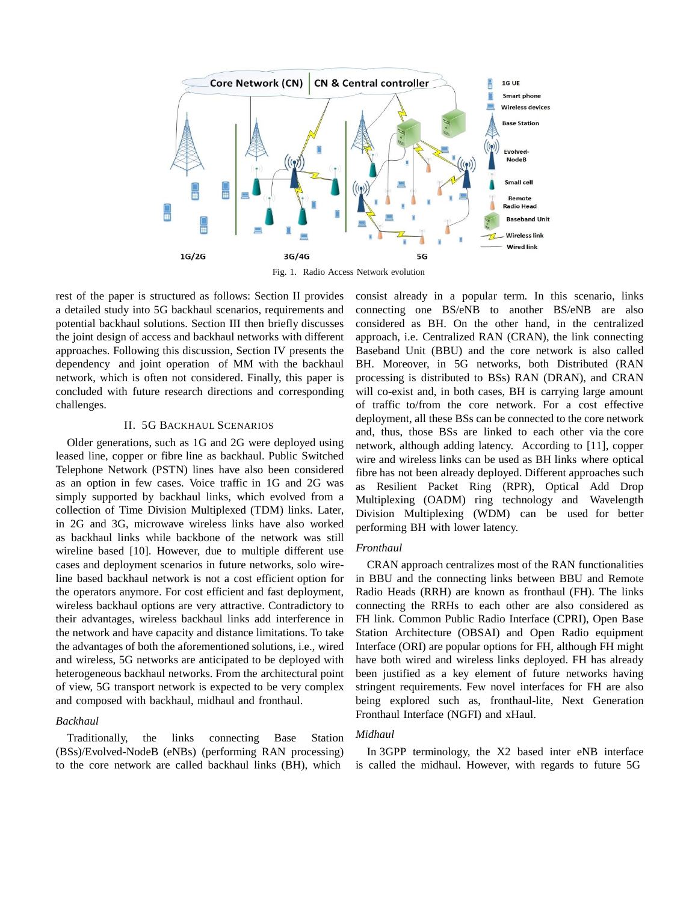

Fig. 1. Radio Access Network evolution

rest of the paper is structured as follows: Section II provides a detailed study into 5G backhaul scenarios, requirements and potential backhaul solutions. Section III then briefly discusses the joint design of access and backhaul networks with different approaches. Following this discussion, Section IV presents the dependency and joint operation of MM with the backhaul network, which is often not considered. Finally, this paper is concluded with future research directions and corresponding challenges.

#### II. 5G BACKHAUL SCENARIOS

Older generations, such as 1G and 2G were deployed using leased line, copper or fibre line as backhaul. Public Switched Telephone Network (PSTN) lines have also been considered as an option in few cases. Voice traffic in 1G and 2G was simply supported by backhaul links, which evolved from a collection of Time Division Multiplexed (TDM) links. Later, in 2G and 3G, microwave wireless links have also worked as backhaul links while backbone of the network was still wireline based [10]. However, due to multiple different use cases and deployment scenarios in future networks, solo wireline based backhaul network is not a cost efficient option for the operators anymore. For cost efficient and fast deployment, wireless backhaul options are very attractive. Contradictory to their advantages, wireless backhaul links add interference in the network and have capacity and distance limitations. To take the advantages of both the aforementioned solutions, i.e., wired and wireless, 5G networks are anticipated to be deployed with heterogeneous backhaul networks. From the architectural point of view, 5G transport network is expected to be very complex and composed with backhaul, midhaul and fronthaul.

## *Backhaul*

Traditionally, the links connecting Base Station (BSs)/Evolved-NodeB (eNBs) (performing RAN processing) to the core network are called backhaul links (BH), which

consist already in a popular term. In this scenario, links connecting one BS/eNB to another BS/eNB are also considered as BH. On the other hand, in the centralized approach, i.e. Centralized RAN (CRAN), the link connecting Baseband Unit (BBU) and the core network is also called BH. Moreover, in 5G networks, both Distributed (RAN processing is distributed to BSs) RAN (DRAN), and CRAN will co-exist and, in both cases, BH is carrying large amount of traffic to/from the core network. For a cost effective deployment, all these BSs can be connected to the core network and, thus, those BSs are linked to each other via the core network, although adding latency. According to [11], copper wire and wireless links can be used as BH links where optical fibre has not been already deployed. Different approaches such as Resilient Packet Ring (RPR), Optical Add Drop Multiplexing (OADM) ring technology and Wavelength Division Multiplexing (WDM) can be used for better performing BH with lower latency.

## *Fronthaul*

CRAN approach centralizes most of the RAN functionalities in BBU and the connecting links between BBU and Remote Radio Heads (RRH) are known as fronthaul (FH). The links connecting the RRHs to each other are also considered as FH link. Common Public Radio Interface (CPRI), Open Base Station Architecture (OBSAI) and Open Radio equipment Interface (ORI) are popular options for FH, although FH might have both wired and wireless links deployed. FH has already been justified as a key element of future networks having stringent requirements. Few novel interfaces for FH are also being explored such as, fronthaul-lite, Next Generation Fronthaul Interface (NGFI) and xHaul.

## *Midhaul*

In 3GPP terminology, the X2 based inter eNB interface is called the midhaul. However, with regards to future 5G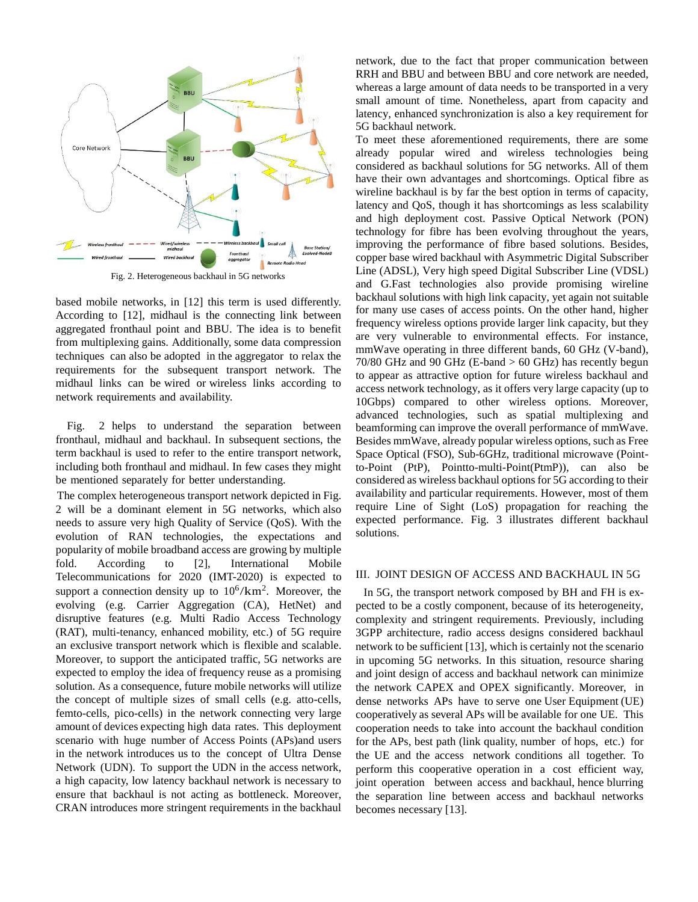

Fig. 2. Heterogeneous backhaul in 5G networks

based mobile networks, in [12] this term is used differently. According to [12], midhaul is the connecting link between aggregated fronthaul point and BBU. The idea is to benefit from multiplexing gains. Additionally, some data compression techniques can also be adopted in the aggregator to relax the requirements for the subsequent transport network. The midhaul links can be wired or wireless links according to network requirements and availability.

Fig. 2 helps to understand the separation between fronthaul, midhaul and backhaul. In subsequent sections, the term backhaul is used to refer to the entire transport network, including both fronthaul and midhaul. In few cases they might be mentioned separately for better understanding.

The complex heterogeneous transport network depicted in Fig. 2 will be a dominant element in 5G networks, which also needs to assure very high Quality of Service (QoS). With the evolution of RAN technologies, the expectations and popularity of mobile broadband access are growing by multiple fold. According to [2], International Mobile Telecommunications for 2020 (IMT-2020) is expected to support a connection density up to  $10^6/\text{km}^2$ . Moreover, the evolving (e.g. Carrier Aggregation (CA), HetNet) and disruptive features (e.g. Multi Radio Access Technology (RAT), multi-tenancy, enhanced mobility, etc.) of 5G require an exclusive transport network which is flexible and scalable. Moreover, to support the anticipated traffic, 5G networks are expected to employ the idea of frequency reuse as a promising solution. As a consequence, future mobile networks will utilize the concept of multiple sizes of small cells (e.g. atto-cells, femto-cells, pico-cells) in the network connecting very large amount of devices expecting high data rates. This deployment scenario with huge number of Access Points (APs)and users in the network introduces us to the concept of Ultra Dense Network (UDN). To support the UDN in the access network, a high capacity, low latency backhaul network is necessary to ensure that backhaul is not acting as bottleneck. Moreover, CRAN introduces more stringent requirements in the backhaul network, due to the fact that proper communication between RRH and BBU and between BBU and core network are needed, whereas a large amount of data needs to be transported in a very small amount of time. Nonetheless, apart from capacity and latency, enhanced synchronization is also a key requirement for 5G backhaul network.

To meet these aforementioned requirements, there are some already popular wired and wireless technologies being considered as backhaul solutions for 5G networks. All of them have their own advantages and shortcomings. Optical fibre as wireline backhaul is by far the best option in terms of capacity, latency and QoS, though it has shortcomings as less scalability and high deployment cost. Passive Optical Network (PON) technology for fibre has been evolving throughout the years, improving the performance of fibre based solutions. Besides, copper base wired backhaul with Asymmetric Digital Subscriber Line (ADSL), Very high speed Digital Subscriber Line (VDSL) and G.Fast technologies also provide promising wireline backhaul solutions with high link capacity, yet again not suitable for many use cases of access points. On the other hand, higher frequency wireless options provide larger link capacity, but they are very vulnerable to environmental effects. For instance, mmWave operating in three different bands, 60 GHz (V-band), 70/80 GHz and 90 GHz (E-band > 60 GHz) has recently begun to appear as attractive option for future wireless backhaul and access network technology, as it offers very large capacity (up to 10Gbps) compared to other wireless options. Moreover, advanced technologies, such as spatial multiplexing and beamforming can improve the overall performance of mmWave. Besides mmWave, already popular wireless options, such as Free Space Optical (FSO), Sub-6GHz, traditional microwave (Pointto-Point (PtP), Pointto-multi-Point(PtmP)), can also be considered as wireless backhaul options for 5G according to their availability and particular requirements. However, most of them require Line of Sight (LoS) propagation for reaching the expected performance. Fig. 3 illustrates different backhaul solutions.

## III. JOINT DESIGN OF ACCESS AND BACKHAUL IN 5G

In 5G, the transport network composed by BH and FH is expected to be a costly component, because of its heterogeneity, complexity and stringent requirements. Previously, including 3GPP architecture, radio access designs considered backhaul network to be sufficient [13], which is certainly not the scenario in upcoming 5G networks. In this situation, resource sharing and joint design of access and backhaul network can minimize the network CAPEX and OPEX significantly. Moreover, in dense networks APs have to serve one User Equipment (UE) cooperatively as several APs will be available for one UE. This cooperation needs to take into account the backhaul condition for the APs, best path (link quality, number of hops, etc.) for the UE and the access network conditions all together. To perform this cooperative operation in a cost efficient way, joint operation between access and backhaul, hence blurring the separation line between access and backhaul networks becomes necessary [13].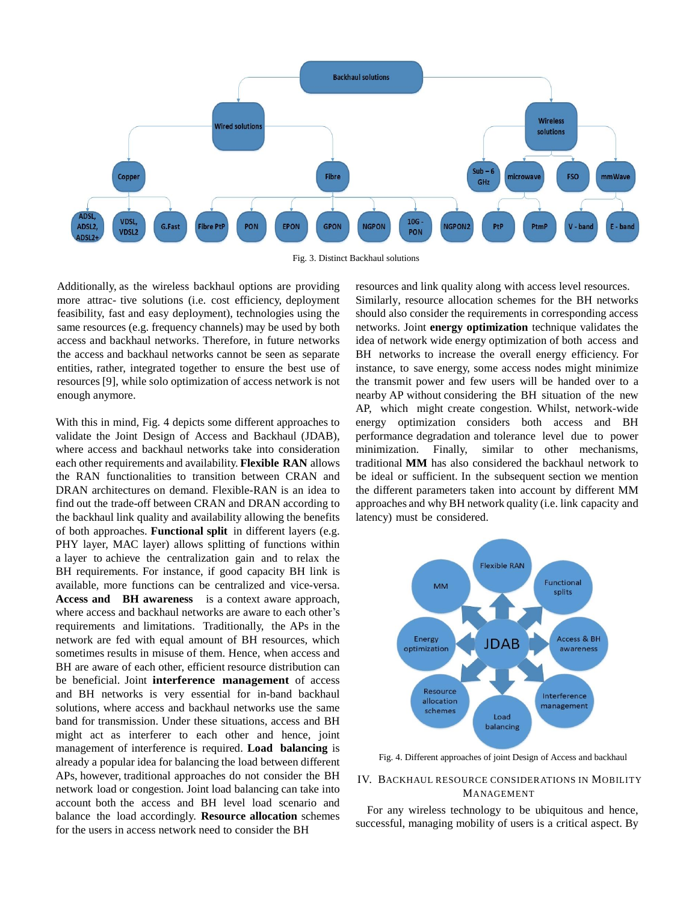

Fig. 3. Distinct Backhaul solutions

Additionally, as the wireless backhaul options are providing more attrac- tive solutions (i.e. cost efficiency, deployment feasibility, fast and easy deployment), technologies using the same resources (e.g. frequency channels) may be used by both access and backhaul networks. Therefore, in future networks the access and backhaul networks cannot be seen as separate entities, rather, integrated together to ensure the best use of resources [9], while solo optimization of access network is not enough anymore.

With this in mind, Fig. 4 depicts some different approaches to validate the Joint Design of Access and Backhaul (JDAB), where access and backhaul networks take into consideration each other requirements and availability. **Flexible RAN** allows the RAN functionalities to transition between CRAN and DRAN architectures on demand. Flexible-RAN is an idea to find out the trade-off between CRAN and DRAN according to the backhaul link quality and availability allowing the benefits of both approaches. **Functional split** in different layers (e.g. PHY layer, MAC layer) allows splitting of functions within a layer to achieve the centralization gain and to relax the BH requirements. For instance, if good capacity BH link is available, more functions can be centralized and vice-versa. **Access and BH awareness** is a context aware approach, where access and backhaul networks are aware to each other's requirements and limitations. Traditionally, the APs in the network are fed with equal amount of BH resources, which sometimes results in misuse of them. Hence, when access and BH are aware of each other, efficient resource distribution can be beneficial. Joint **interference management** of access and BH networks is very essential for in-band backhaul solutions, where access and backhaul networks use the same band for transmission. Under these situations, access and BH might act as interferer to each other and hence, joint management of interference is required. **Load balancing** is already a popular idea for balancing the load between different APs, however, traditional approaches do not consider the BH network load or congestion. Joint load balancing can take into account both the access and BH level load scenario and balance the load accordingly. **Resource allocation** schemes for the users in access network need to consider the BH

resources and link quality along with access level resources. Similarly, resource allocation schemes for the BH networks should also consider the requirements in corresponding access networks. Joint **energy optimization** technique validates the idea of network wide energy optimization of both access and BH networks to increase the overall energy efficiency. For instance, to save energy, some access nodes might minimize the transmit power and few users will be handed over to a nearby AP without considering the BH situation of the new AP, which might create congestion. Whilst, network-wide energy optimization considers both access and BH performance degradation and tolerance level due to power minimization. Finally, similar to other mechanisms, traditional **MM** has also considered the backhaul network to be ideal or sufficient. In the subsequent section we mention the different parameters taken into account by different MM approaches and why BH network quality (i.e. link capacity and latency) must be considered.



Fig. 4. Different approaches of joint Design of Access and backhaul

## IV. BACKHAUL RESOURCE CONSIDERATIONS IN MOBILITY MANAGEMENT

For any wireless technology to be ubiquitous and hence, successful, managing mobility of users is a critical aspect. By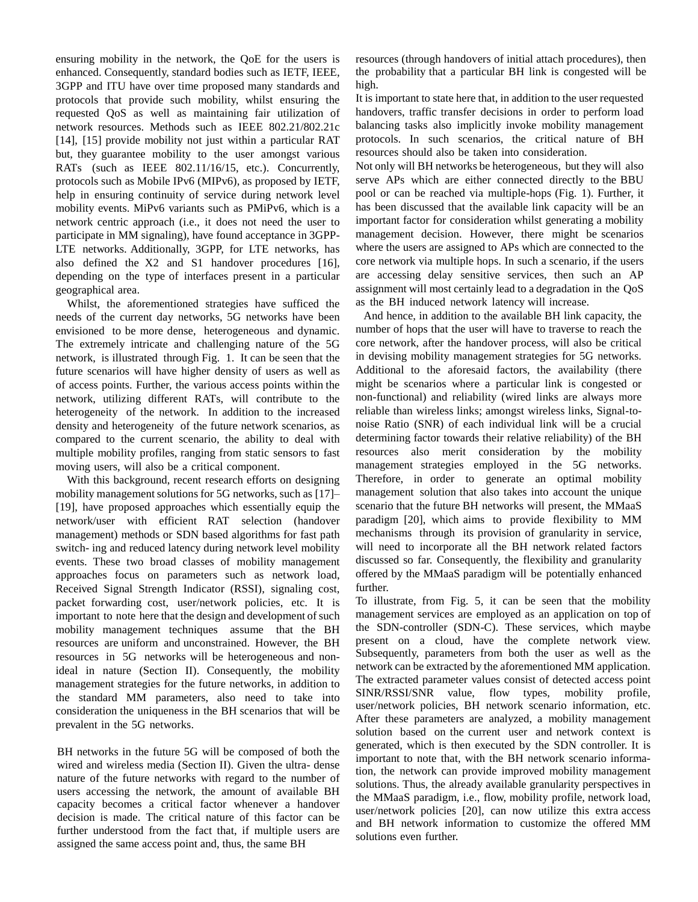ensuring mobility in the network, the QoE for the users is enhanced. Consequently, standard bodies such as IETF, IEEE, 3GPP and ITU have over time proposed many standards and protocols that provide such mobility, whilst ensuring the requested QoS as well as maintaining fair utilization of network resources. Methods such as IEEE 802.21/802.21c [14], [15] provide mobility not just within a particular RAT but, they guarantee mobility to the user amongst various RATs (such as IEEE 802.11/16/15, etc.). Concurrently, protocols such as Mobile IPv6 (MIPv6), as proposed by IETF, help in ensuring continuity of service during network level mobility events. MiPv6 variants such as PMiPv6, which is a network centric approach (i.e., it does not need the user to participate in MM signaling), have found acceptance in 3GPP-LTE networks. Additionally, 3GPP, for LTE networks, has also defined the X2 and S1 handover procedures [16], depending on the type of interfaces present in a particular geographical area.

Whilst, the aforementioned strategies have sufficed the needs of the current day networks, 5G networks have been envisioned to be more dense, heterogeneous and dynamic. The extremely intricate and challenging nature of the 5G network, is illustrated through Fig. 1. It can be seen that the future scenarios will have higher density of users as well as of access points. Further, the various access points within the network, utilizing different RATs, will contribute to the heterogeneity of the network. In addition to the increased density and heterogeneity of the future network scenarios, as compared to the current scenario, the ability to deal with multiple mobility profiles, ranging from static sensors to fast moving users, will also be a critical component.

With this background, recent research efforts on designing mobility management solutions for 5G networks, such as  $[17]$ – [19], have proposed approaches which essentially equip the network/user with efficient RAT selection (handover management) methods or SDN based algorithms for fast path switch- ing and reduced latency during network level mobility events. These two broad classes of mobility management approaches focus on parameters such as network load, Received Signal Strength Indicator (RSSI), signaling cost, packet forwarding cost, user/network policies, etc. It is important to note here that the design and development of such mobility management techniques assume that the BH resources are uniform and unconstrained. However, the BH resources in 5G networks will be heterogeneous and nonideal in nature (Section II). Consequently, the mobility management strategies for the future networks, in addition to the standard MM parameters, also need to take into consideration the uniqueness in the BH scenarios that will be prevalent in the 5G networks.

BH networks in the future 5G will be composed of both the wired and wireless media (Section II). Given the ultra- dense nature of the future networks with regard to the number of users accessing the network, the amount of available BH capacity becomes a critical factor whenever a handover decision is made. The critical nature of this factor can be further understood from the fact that, if multiple users are assigned the same access point and, thus, the same BH

resources (through handovers of initial attach procedures), then the probability that a particular BH link is congested will be high.

It is important to state here that, in addition to the user requested handovers, traffic transfer decisions in order to perform load balancing tasks also implicitly invoke mobility management protocols. In such scenarios, the critical nature of BH resources should also be taken into consideration.

Not only will BH networks be heterogeneous, but they will also serve APs which are either connected directly to the BBU pool or can be reached via multiple-hops (Fig. 1). Further, it has been discussed that the available link capacity will be an important factor for consideration whilst generating a mobility management decision. However, there might be scenarios where the users are assigned to APs which are connected to the core network via multiple hops. In such a scenario, if the users are accessing delay sensitive services, then such an AP assignment will most certainly lead to a degradation in the QoS as the BH induced network latency will increase.

And hence, in addition to the available BH link capacity, the number of hops that the user will have to traverse to reach the core network, after the handover process, will also be critical in devising mobility management strategies for 5G networks. Additional to the aforesaid factors, the availability (there might be scenarios where a particular link is congested or non-functional) and reliability (wired links are always more reliable than wireless links; amongst wireless links, Signal-tonoise Ratio (SNR) of each individual link will be a crucial determining factor towards their relative reliability) of the BH resources also merit consideration by the mobility management strategies employed in the 5G networks. Therefore, in order to generate an optimal mobility management solution that also takes into account the unique scenario that the future BH networks will present, the MMaaS paradigm [20], which aims to provide flexibility to MM mechanisms through its provision of granularity in service, will need to incorporate all the BH network related factors discussed so far. Consequently, the flexibility and granularity offered by the MMaaS paradigm will be potentially enhanced further.

To illustrate, from Fig. 5, it can be seen that the mobility management services are employed as an application on top of the SDN-controller (SDN-C). These services, which maybe present on a cloud, have the complete network view. Subsequently, parameters from both the user as well as the network can be extracted by the aforementioned MM application. The extracted parameter values consist of detected access point SINR/RSSI/SNR value, flow types, mobility profile, user/network policies, BH network scenario information, etc. After these parameters are analyzed, a mobility management solution based on the current user and network context is generated, which is then executed by the SDN controller. It is important to note that, with the BH network scenario information, the network can provide improved mobility management solutions. Thus, the already available granularity perspectives in the MMaaS paradigm, i.e., flow, mobility profile, network load, user/network policies [20], can now utilize this extra access and BH network information to customize the offered MM solutions even further.